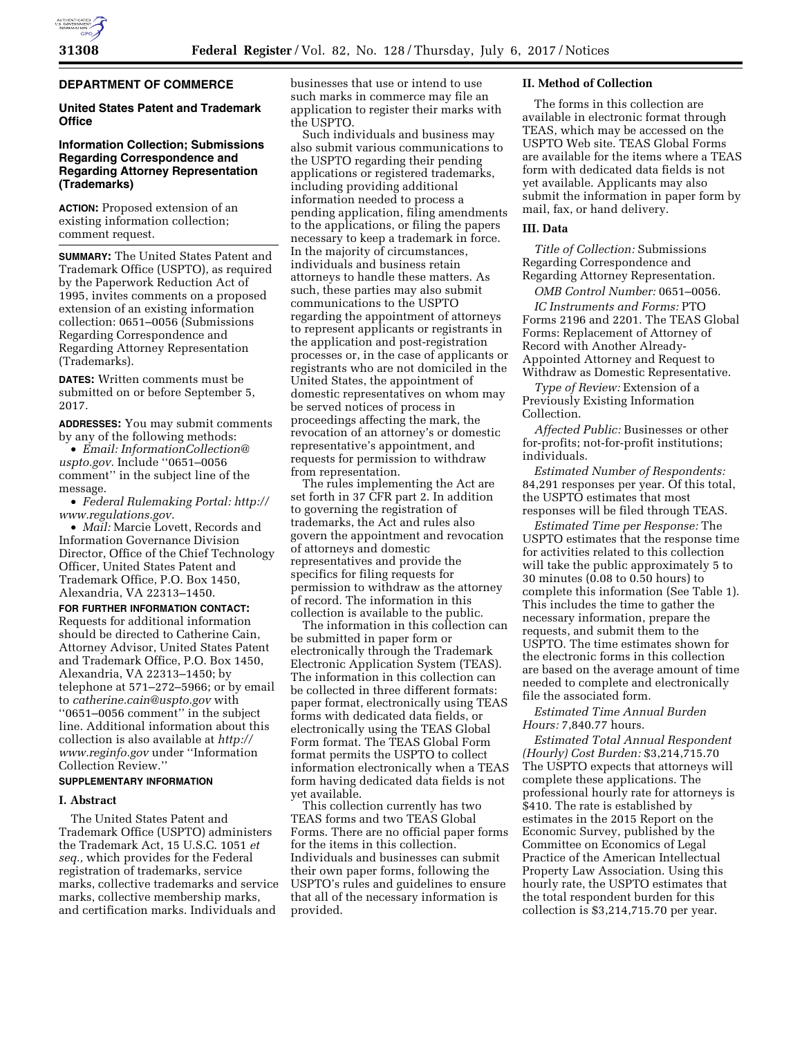

## **DEPARTMENT OF COMMERCE**

### **United States Patent and Trademark Office**

# **Information Collection; Submissions Regarding Correspondence and Regarding Attorney Representation (Trademarks)**

**ACTION:** Proposed extension of an existing information collection; comment request.

**SUMMARY:** The United States Patent and Trademark Office (USPTO), as required by the Paperwork Reduction Act of 1995, invites comments on a proposed extension of an existing information collection: 0651–0056 (Submissions Regarding Correspondence and Regarding Attorney Representation (Trademarks).

**DATES:** Written comments must be submitted on or before September 5, 2017.

**ADDRESSES:** You may submit comments by any of the following methods:

• *Email: [InformationCollection@](mailto:InformationCollection@uspto.gov) [uspto.gov.](mailto:InformationCollection@uspto.gov)* Include ''0651–0056 comment'' in the subject line of the message.

• *Federal Rulemaking Portal: [http://](http://www.regulations.gov) [www.regulations.gov.](http://www.regulations.gov)* 

• *Mail:* Marcie Lovett, Records and Information Governance Division Director, Office of the Chief Technology Officer, United States Patent and Trademark Office, P.O. Box 1450, Alexandria, VA 22313–1450.

**FOR FURTHER INFORMATION CONTACT:**  Requests for additional information should be directed to Catherine Cain, Attorney Advisor, United States Patent and Trademark Office, P.O. Box 1450, Alexandria, VA 22313–1450; by telephone at 571–272–5966; or by email to *[catherine.cain@uspto.gov](mailto:catherine.cain@uspto.gov)* with ''0651–0056 comment'' in the subject line. Additional information about this collection is also available at *[http://](http://www.reginfo.gov) [www.reginfo.gov](http://www.reginfo.gov)* under ''Information Collection Review.''

#### **SUPPLEMENTARY INFORMATION**

#### **I. Abstract**

The United States Patent and Trademark Office (USPTO) administers the Trademark Act, 15 U.S.C. 1051 *et seq.,* which provides for the Federal registration of trademarks, service marks, collective trademarks and service marks, collective membership marks, and certification marks. Individuals and

businesses that use or intend to use such marks in commerce may file an application to register their marks with the USPTO.

Such individuals and business may also submit various communications to the USPTO regarding their pending applications or registered trademarks, including providing additional information needed to process a pending application, filing amendments to the applications, or filing the papers necessary to keep a trademark in force. In the majority of circumstances, individuals and business retain attorneys to handle these matters. As such, these parties may also submit communications to the USPTO regarding the appointment of attorneys to represent applicants or registrants in the application and post-registration processes or, in the case of applicants or registrants who are not domiciled in the United States, the appointment of domestic representatives on whom may be served notices of process in proceedings affecting the mark, the revocation of an attorney's or domestic representative's appointment, and requests for permission to withdraw from representation.

The rules implementing the Act are set forth in 37 CFR part 2. In addition to governing the registration of trademarks, the Act and rules also govern the appointment and revocation of attorneys and domestic representatives and provide the specifics for filing requests for permission to withdraw as the attorney of record. The information in this collection is available to the public.

The information in this collection can be submitted in paper form or electronically through the Trademark Electronic Application System (TEAS). The information in this collection can be collected in three different formats: paper format, electronically using TEAS forms with dedicated data fields, or electronically using the TEAS Global Form format. The TEAS Global Form format permits the USPTO to collect information electronically when a TEAS form having dedicated data fields is not yet available.

This collection currently has two TEAS forms and two TEAS Global Forms. There are no official paper forms for the items in this collection. Individuals and businesses can submit their own paper forms, following the USPTO's rules and guidelines to ensure that all of the necessary information is provided.

#### **II. Method of Collection**

The forms in this collection are available in electronic format through TEAS, which may be accessed on the USPTO Web site. TEAS Global Forms are available for the items where a TEAS form with dedicated data fields is not yet available. Applicants may also submit the information in paper form by mail, fax, or hand delivery.

#### **III. Data**

*Title of Collection:* Submissions Regarding Correspondence and Regarding Attorney Representation.

*OMB Control Number:* 0651–0056.

*IC Instruments and Forms:* PTO Forms 2196 and 2201. The TEAS Global Forms: Replacement of Attorney of Record with Another Already-Appointed Attorney and Request to Withdraw as Domestic Representative.

*Type of Review:* Extension of a Previously Existing Information Collection.

*Affected Public:* Businesses or other for-profits; not-for-profit institutions; individuals.

*Estimated Number of Respondents:*  84,291 responses per year. Of this total, the USPTO estimates that most responses will be filed through TEAS.

*Estimated Time per Response:* The USPTO estimates that the response time for activities related to this collection will take the public approximately 5 to 30 minutes (0.08 to 0.50 hours) to complete this information (See Table 1). This includes the time to gather the necessary information, prepare the requests, and submit them to the USPTO. The time estimates shown for the electronic forms in this collection are based on the average amount of time needed to complete and electronically file the associated form.

*Estimated Time Annual Burden Hours:* 7,840.77 hours.

*Estimated Total Annual Respondent (Hourly) Cost Burden:* \$3,214,715.70 The USPTO expects that attorneys will complete these applications. The professional hourly rate for attorneys is \$410. The rate is established by estimates in the 2015 Report on the Economic Survey, published by the Committee on Economics of Legal Practice of the American Intellectual Property Law Association. Using this hourly rate, the USPTO estimates that the total respondent burden for this collection is \$3,214,715.70 per year.